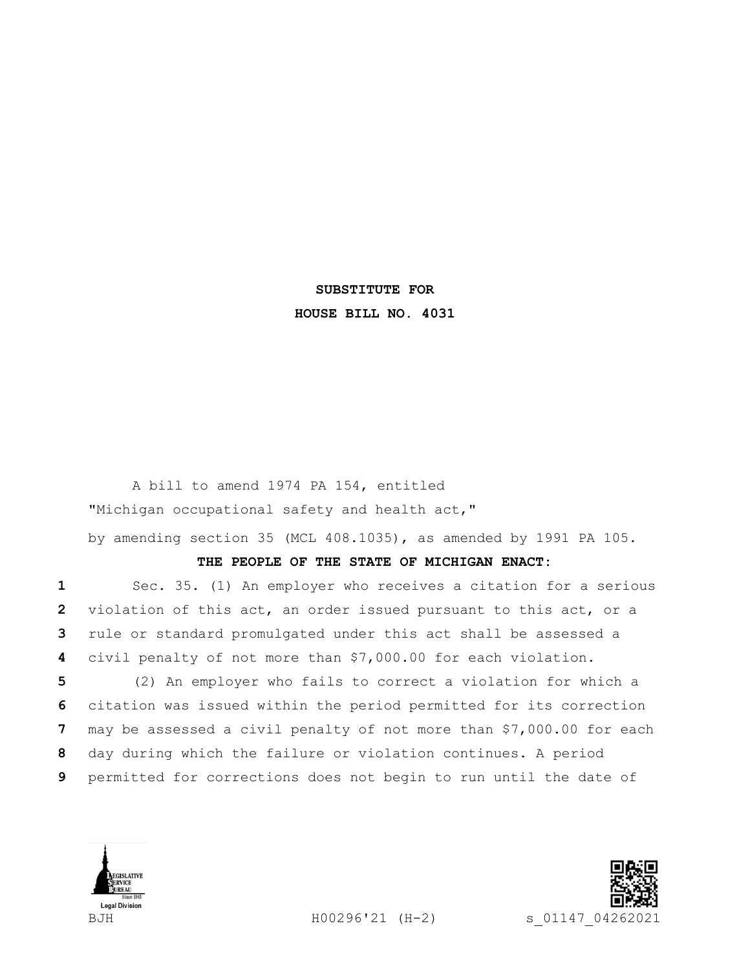## **SUBSTITUTE FOR HOUSE BILL NO. 4031**

A bill to amend 1974 PA 154, entitled "Michigan occupational safety and health act,"

by amending section 35 (MCL 408.1035), as amended by 1991 PA 105.

## **THE PEOPLE OF THE STATE OF MICHIGAN ENACT:**

 Sec. 35. (1) An employer who receives a citation for a serious violation of this act, an order issued pursuant to this act, or a rule or standard promulgated under this act shall be assessed a civil penalty of not more than \$7,000.00 for each violation.

 (2) An employer who fails to correct a violation for which a citation was issued within the period permitted for its correction may be assessed a civil penalty of not more than \$7,000.00 for each day during which the failure or violation continues. A period permitted for corrections does not begin to run until the date of



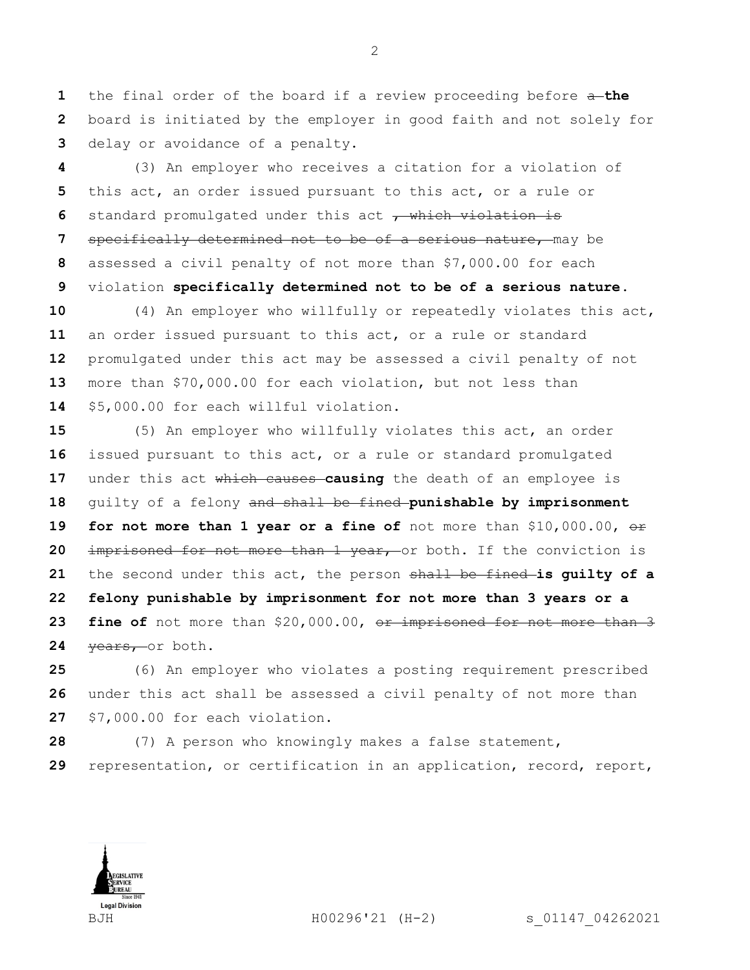the final order of the board if a review proceeding before a **the**  board is initiated by the employer in good faith and not solely for delay or avoidance of a penalty.

 (3) An employer who receives a citation for a violation of this act, an order issued pursuant to this act, or a rule or 6 standard promulgated under this act , which violation is specifically determined not to be of a serious nature, may be assessed a civil penalty of not more than \$7,000.00 for each violation **specifically determined not to be of a serious nature**.

 (4) An employer who willfully or repeatedly violates this act, an order issued pursuant to this act, or a rule or standard promulgated under this act may be assessed a civil penalty of not more than \$70,000.00 for each violation, but not less than \$5,000.00 for each willful violation.

 (5) An employer who willfully violates this act, an order issued pursuant to this act, or a rule or standard promulgated under this act which causes **causing** the death of an employee is guilty of a felony and shall be fined **punishable by imprisonment for not more than 1 year or a fine of** not more than \$10,000.00,  $\Theta$ f imprisoned for not more than 1 year, or both. If the conviction is the second under this act, the person shall be fined **is guilty of a felony punishable by imprisonment for not more than 3 years or a 23 fine of** not more than \$20,000.00, or imprisoned for not more than 3 24 years, or both.

 (6) An employer who violates a posting requirement prescribed under this act shall be assessed a civil penalty of not more than \$7,000.00 for each violation.

 (7) A person who knowingly makes a false statement, representation, or certification in an application, record, report,

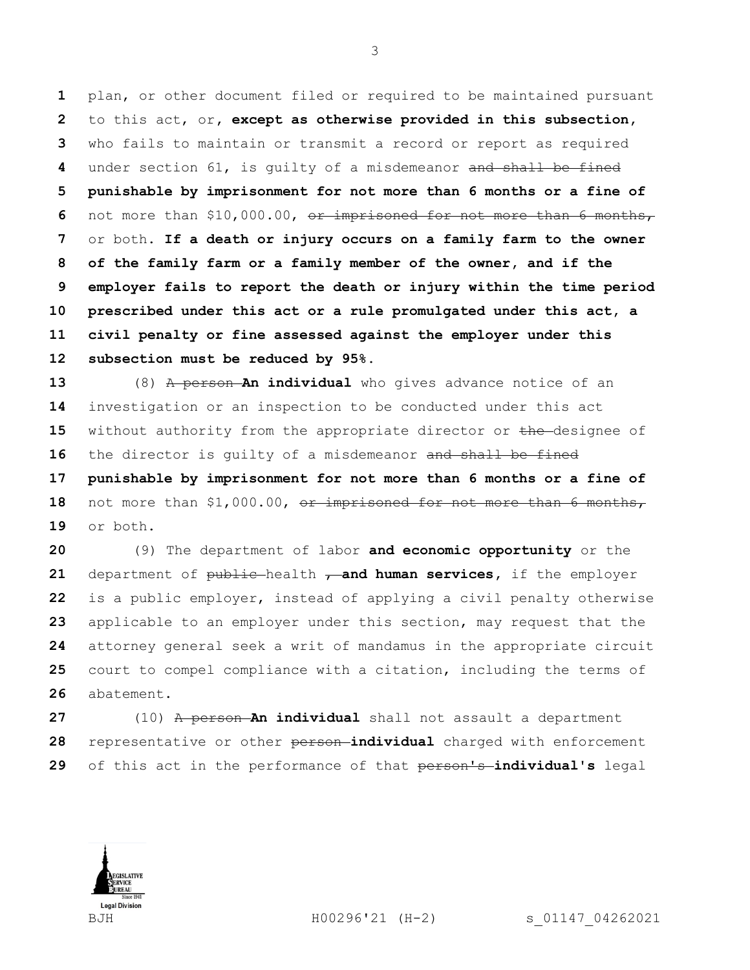plan, or other document filed or required to be maintained pursuant to this act, or**, except as otherwise provided in this subsection,**  who fails to maintain or transmit a record or report as required under section 61, is guilty of a misdemeanor and shall be fined **punishable by imprisonment for not more than 6 months or a fine of**  not more than \$10,000.00, or imprisoned for not more than 6 months, or both. **If a death or injury occurs on a family farm to the owner of the family farm or a family member of the owner, and if the employer fails to report the death or injury within the time period prescribed under this act or a rule promulgated under this act, a civil penalty or fine assessed against the employer under this subsection must be reduced by 95%.**

 (8) A person **An individual** who gives advance notice of an investigation or an inspection to be conducted under this act 15 without authority from the appropriate director or the designee of 16 the director is quilty of a misdemeanor and shall be fined **punishable by imprisonment for not more than 6 months or a fine of**  18 not more than \$1,000.00, or imprisoned for not more than 6 months,

or both.

 (9) The department of labor **and economic opportunity** or the department of public health **, and human services**, if the employer is a public employer, instead of applying a civil penalty otherwise applicable to an employer under this section, may request that the attorney general seek a writ of mandamus in the appropriate circuit court to compel compliance with a citation, including the terms of abatement.

 (10) A person **An individual** shall not assault a department representative or other person **individual** charged with enforcement of this act in the performance of that person's **individual's** legal